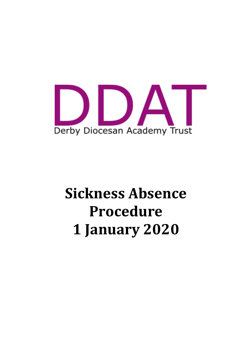

# **Sickness Absence Procedure 1 January 2020**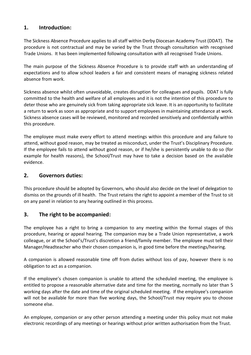# **1. Introduction:**

The Sickness Absence Procedure applies to all staff within Derby Diocesan Academy Trust (DDAT). The procedure is not contractual and may be varied by the Trust through consultation with recognised Trade Unions. It has been implemented following consultation with all recognised Trade Unions.

The main purpose of the Sickness Absence Procedure is to provide staff with an understanding of expectations and to allow school leaders a fair and consistent means of managing sickness related absence from work.

Sickness absence whilst often unavoidable, creates disruption for colleagues and pupils. DDAT is fully committed to the health and welfare of all employees and it is not the intention of this procedure to deter those who are genuinely sick from taking appropriate sick leave. It is an opportunity to facilitate a return to work as soon as appropriate and to support employees in maintaining attendance at work. Sickness absence cases will be reviewed, monitored and recorded sensitively and confidentially within this procedure.

The employee must make every effort to attend meetings within this procedure and any failure to attend, without good reason, may be treated as misconduct, under the Trust's Disciplinary Procedure. If the employee fails to attend without good reason, or if he/she is persistently unable to do so (for example for health reasons), the School/Trust may have to take a decision based on the available evidence.

# **2. Governors duties:**

This procedure should be adopted by Governors, who should also decide on the level of delegation to dismiss on the grounds of ill health. The Trust retains the right to appoint a member of the Trust to sit on any panel in relation to any hearing outlined in this process.

## **3. The right to be accompanied:**

The employee has a right to bring a companion to any meeting within the formal stages of this procedure, hearing or appeal hearing. The companion may be a Trade Union representative, a work colleague, or at the School's/Trust's discretion a friend/family member. The employee must tell their Manager/Headteacher who their chosen companion is, in good time before the meetings/hearing.

A companion is allowed reasonable time off from duties without loss of pay, however there is no obligation to act as a companion.

If the employee's chosen companion is unable to attend the scheduled meeting, the employee is entitled to propose a reasonable alternative date and time for the meeting, normally no later than 5 working days after the date and time of the original scheduled meeting. If the employee's companion will not be available for more than five working days, the School/Trust may require you to choose someone else.

An employee, companion or any other person attending a meeting under this policy must not make electronic recordings of any meetings or hearings without prior written authorisation from the Trust.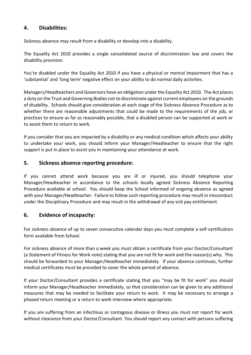## **4. Disabilities:**

Sickness absence may result from a disability or develop into a disability.

The Equality Act 2010 provides a single consolidated source of discrimination law and covers the disability provision.

You're disabled under the Equality Act 2010 if you have a physical or mental impairment that has a 'substantial' and 'long term' negative effect on your ability to do normal daily activities.

Managers/Headteachers and Governors have an obligation under the Equality Act 2010. The Act places a duty on the Trust and Governing Bodies not to discriminate against current employees on the grounds of disability. Schools should give consideration at each stage of the Sickness Absence Procedure as to whether there are reasonable adjustments that could be made to the requirements of the job, or practices to ensure as far as reasonably possible, that a disabled person can be supported at work or to assist them to return to work.

If you consider that you are impacted by a disability or any medical condition which affects your ability to undertake your work, you should inform your Manager/Headteacher to ensure that the right support is put in place to assist you in maintaining your attendance at work.

## **5. Sickness absence reporting procedure:**

If you cannot attend work because you are ill or injured, you should telephone your Manager/Headteacher in accordance to the schools locally agreed Sickness Absence Reporting Procedure available at school. You should keep the School informed of ongoing absence as agreed with your Manager/Headteacher. Failure to follow such reporting procedure may result in misconduct under the Disciplinary Procedure and may result in the withdrawal of any sick pay entitlement.

## **6. Evidence of incapacity:**

For sickness absence of up to seven consecutive calendar days you must complete a self-certification form available from School.

For sickness absence of more than a week you must obtain a certificate from your Doctor/Consultant (a Statement of Fitness for Work note) stating that you are not fit for work and the reason(s) why. This should be forwarded to your Manager/Headteacher immediately. If your absence continues, further medical certificates must be provided to cover the whole period of absence.

If your Doctor/Consultant provides a certificate stating that you "may be fit for work" you should inform your Manager/Headteacher immediately, so that consideration can be given to any additional measures that may be needed to facilitate your return to work. It may be necessary to arrange a phased return meeting or a return to work interview where appropriate.

If you are suffering from an infectious or contagious disease or illness you must not report for work without clearance from your Doctor/Consultant. You should report any contact with persons suffering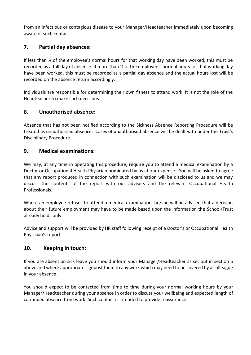from an infectious or contagious disease to your Manager/Headteacher immediately upon becoming aware of such contact.

# **7. Partial day absences:**

If less than ¼ of the employee's normal hours for that working day have been worked, this must be recorded as a full day of absence. If more than ¼ of the employee's normal hours for that working day have been worked, this must be recorded as a partial day absence and the actual hours lost will be recorded on the absence return accordingly.

Individuals are responsible for determining their own fitness to attend work. It is not the role of the Headteacher to make such decisions.

## **8. Unauthorised absence:**

Absence that has not been notified according to the Sickness Absence Reporting Procedure will be treated as unauthorised absence. Cases of unauthorised absence will be dealt with under the Trust's Disciplinary Procedure.

## **9. Medical examinations:**

We may, at any time in operating this procedure, require you to attend a medical examination by a Doctor or Occupational Health Physician nominated by us at our expense. You will be asked to agree that any report produced in connection with such examination will be disclosed to us and we may discuss the contents of the report with our advisers and the relevant Occupational Health Professionals.

Where an employee refuses to attend a medical examination, he/she will be advised that a decision about their future employment may have to be made based upon the information the School/Trust already holds only.

Advice and support will be provided by HR staff following receipt of a Doctor's or Occupational Health Physician's report.

## **10. Keeping in touch:**

If you are absent on sick leave you should inform your Manager/Headteacher as set out in section 5 above and where appropriate signpost them to any work which may need to be covered by a colleague in your absence.

You should expect to be contacted from time to time during your normal working hours by your Manager/Headteacher during your absence in order to discuss your wellbeing and expected length of continued absence from work. Such contact is intended to provide reassurance.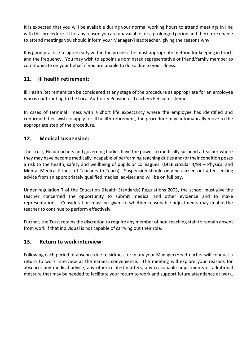It is expected that you will be available during your normal working hours to attend meetings in line with this procedure. If for any reason you are unavailable for a prolonged period and therefore unable to attend meetings you should inform your Manager/Headteacher, giving the reasons why.

It is good practice to agree early within the process the most appropriate method for keeping in touch and the frequency. You may wish to appoint a nominated representative or friend/family member to communicate on your behalf if you are unable to do so due to your illness.

# **11. Ill health retirement:**

Ill Health Retirement can be considered at any stage of the procedure as appropriate for an employee who is contributing to the Local Authority Pension or Teachers Pension scheme.

In cases of terminal illness with a short life expectancy where the employee has identified and confirmed their wish to apply for ill health retirement, the procedure may automatically move to the appropriate step of the procedure.

# **12. Medical suspension:**

The Trust, Headteachers and governing bodies have the power to medically suspend a teacher where they may have become medically incapable of performing teaching duties and/or their condition poses a risk to the health, safety and wellbeing of pupils or colleagues. (DfEE circular 4/99 – Physical and Mental Medical Fitness of Teachers to Teach). Suspension should only be carried out after seeking advice from an appropriately qualified medical adviser and will be on full pay.

Under regulation 7 of the Education (Health Standards) Regulations 2003, the school must give the teacher concerned the opportunity to submit medical and other evidence and to make representations. Consideration must be given to whether reasonable adjustments may enable the teacher to continue to perform effectively.

Further, the Trust retains the discretion to require any member of non-teaching staff to remain absent from work if that individual is not capable of carrying out their role.

## **13. Return to work interview:**

Following each period of absence due to sickness or injury your Manager/Headteacher will conduct a return to work interview at the earliest convenience. The meeting will explore your reasons for absence, any medical advice, any other related matters, any reasonable adjustments or additional measure that may be needed to facilitate your return to work and support future attendance at work.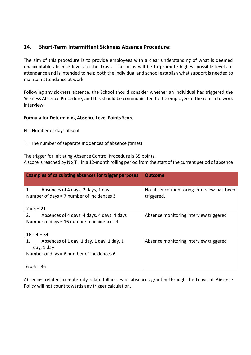## **14. Short-Term Intermittent Sickness Absence Procedure:**

The aim of this procedure is to provide employees with a clear understanding of what is deemed unacceptable absence levels to the Trust. The focus will be to promote highest possible levels of attendance and is intended to help both the individual and school establish what support is needed to maintain attendance at work.

Following any sickness absence, the School should consider whether an individual has triggered the Sickness Absence Procedure, and this should be communicated to the employee at the return to work interview.

#### **Formula for Determining Absence Level Points Score**

N = Number of days absent

T = The number of separate incidences of absence (times)

The trigger for initiating Absence Control Procedure is 35 points. A score is reached by N x T = in a 12-month rolling period from the start of the current period of absence

| Examples of calculating absences for trigger purposes                                  | <b>Outcome</b>                                         |
|----------------------------------------------------------------------------------------|--------------------------------------------------------|
| 1.<br>Absences of 4 days, 2 days, 1 day<br>Number of days = $7$ number of incidences 3 | No absence monitoring interview has been<br>triggered. |
| $7 \times 3 = 21$                                                                      |                                                        |
| Absences of 4 days, 4 days, 4 days, 4 days<br>2.                                       | Absence monitoring interview triggered                 |
| Number of days = 16 number of incidences 4                                             |                                                        |
| $16 \times 4 = 64$                                                                     |                                                        |
| Absences of 1 day, 1 day, 1 day, 1 day, 1<br>1.                                        | Absence monitoring interview triggered                 |
| day, 1 day                                                                             |                                                        |
| Number of days = $6$ number of incidences $6$                                          |                                                        |
|                                                                                        |                                                        |
| $6 \times 6 = 36$                                                                      |                                                        |

Absences related to maternity related illnesses or absences granted through the Leave of Absence Policy will not count towards any trigger calculation.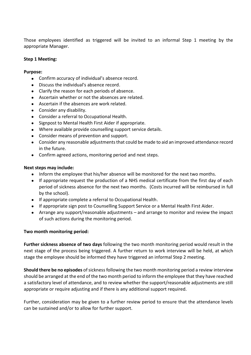Those employees identified as triggered will be invited to an informal Step 1 meeting by the appropriate Manager.

#### **Step 1 Meeting:**

#### **Purpose:**

- Confirm accuracy of individual's absence record.
- Discuss the individual's absence record.
- Clarify the reason for each periods of absence.
- Ascertain whether or not the absences are related.
- Ascertain if the absences are work related.
- Consider any disability.
- Consider a referral to Occupational Health.
- Signpost to Mental Health First Aider if appropriate.
- Where available provide counselling support service details.
- Consider means of prevention and support.
- Consider any reasonable adjustments that could be made to aid an improved attendance record in the future.
- Confirm agreed actions, monitoring period and next steps.

#### **Next steps may include:**

- Inform the employee that his/her absence will be monitored for the next two months.
- If appropriate request the production of a NHS medical certificate from the first day of each period of sickness absence for the next two months. (Costs incurred will be reimbursed in full by the school).
- If appropriate complete a referral to Occupational Health.
- If appropriate sign post to Counselling Support Service or a Mental Health First Aider.
- Arrange any support/reasonable adjustments and arrange to monitor and review the impact of such actions during the monitoring period.

#### **Two month monitoring period:**

**Further sickness absence of two days** following the two month monitoring period would result in the next stage of the process being triggered. A further return to work interview will be held, at which stage the employee should be informed they have triggered an informal Step 2 meeting.

**Should there be no episodes** of sickness following the two month monitoring period a review interview should be arranged at the end of the two month period to inform the employee that they have reached a satisfactory level of attendance, and to review whether the support/reasonable adjustments are still appropriate or require adjusting and if there is any additional support required.

Further, consideration may be given to a further review period to ensure that the attendance levels can be sustained and/or to allow for further support.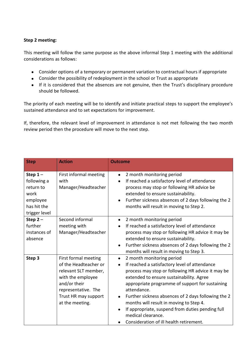## **Step 2 meeting:**

This meeting will follow the same purpose as the above informal Step 1 meeting with the additional considerations as follows:

- Consider options of a temporary or permanent variation to contractual hours if appropriate
- Consider the possibility of redeployment in the school or Trust as appropriate
- If it is considered that the absences are not genuine, then the Trust's disciplinary procedure should be followed.

The priority of each meeting will be to identify and initiate practical steps to support the employee's sustained attendance and to set expectations for improvement.

If, therefore, the relevant level of improvement in attendance is not met following the two month review period then the procedure will move to the next step.

| <b>Step</b>                                                                               | <b>Action</b>                                                                                                                                                                | <b>Outcome</b>                                                                                                                                                                                                                                                                                                                                                                                                                                                                                                           |
|-------------------------------------------------------------------------------------------|------------------------------------------------------------------------------------------------------------------------------------------------------------------------------|--------------------------------------------------------------------------------------------------------------------------------------------------------------------------------------------------------------------------------------------------------------------------------------------------------------------------------------------------------------------------------------------------------------------------------------------------------------------------------------------------------------------------|
| Step $1-$<br>following a<br>return to<br>work<br>employee<br>has hit the<br>trigger level | First informal meeting<br>with<br>Manager/Headteacher                                                                                                                        | 2 month monitoring period<br>$\bullet$<br>If reached a satisfactory level of attendance<br>$\bullet$<br>process may stop or following HR advice be<br>extended to ensure sustainability.<br>Further sickness absences of 2 days following the 2<br>months will result in moving to Step 2.                                                                                                                                                                                                                               |
| Step $2-$<br>further<br>instances of<br>absence                                           | Second informal<br>meeting with<br>Manager/Headteacher                                                                                                                       | 2 month monitoring period<br>$\bullet$<br>If reached a satisfactory level of attendance<br>$\bullet$<br>process may stop or following HR advice it may be<br>extended to ensure sustainability.<br>Further sickness absences of 2 days following the 2<br>months will result in moving to Step 3.                                                                                                                                                                                                                        |
| Step 3                                                                                    | First formal meeting<br>of the Headteacher or<br>relevant SLT member,<br>with the employee<br>and/or their<br>representative. The<br>Trust HR may support<br>at the meeting. | 2 month monitoring period<br>$\bullet$<br>If reached a satisfactory level of attendance<br>$\bullet$<br>process may stop or following HR advice it may be<br>extended to ensure sustainability. Agree<br>appropriate programme of support for sustaining<br>attendance.<br>Further sickness absences of 2 days following the 2<br>$\bullet$<br>months will result in moving to Step 4.<br>If appropriate, suspend from duties pending full<br>medical clearance.<br>Consideration of ill health retirement.<br>$\bullet$ |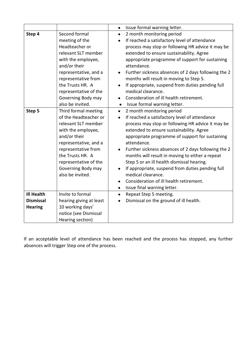|                   |                         | $\bullet$ | Issue formal warning letter.                        |
|-------------------|-------------------------|-----------|-----------------------------------------------------|
| Step 4            | Second formal           | $\bullet$ | 2 month monitoring period                           |
|                   | meeting of the          | $\bullet$ | If reached a satisfactory level of attendance       |
|                   | Headteacher or          |           | process may stop or following HR advice it may be   |
|                   | relevant SLT member     |           | extended to ensure sustainability. Agree            |
|                   | with the employee,      |           | appropriate programme of support for sustaining     |
|                   | and/or their            |           | attendance.                                         |
|                   | representative, and a   |           | Further sickness absences of 2 days following the 2 |
|                   | representative from     |           | months will result in moving to Step 5.             |
|                   | the Trusts HR. A        |           | If appropriate, suspend from duties pending full    |
|                   | representative of the   |           | medical clearance.                                  |
|                   | Governing Body may      |           | Consideration of ill health retirement.             |
|                   | also be invited.        | $\bullet$ | Issue formal warning letter.                        |
| Step 5            | Third formal meeting    | $\bullet$ | 2 month monitoring period                           |
|                   | of the Headteacher or   |           | If reached a satisfactory level of attendance       |
|                   | relevant SLT member     |           | process may stop or following HR advice it may be   |
|                   | with the employee,      |           | extended to ensure sustainability. Agree            |
|                   | and/or their            |           | appropriate programme of support for sustaining     |
|                   | representative, and a   |           | attendance.                                         |
|                   | representative from     |           | Further sickness absences of 2 days following the 2 |
|                   | the Trusts HR. A        |           | months will result in moving to either a repeat     |
|                   | representative of the   |           | Step 5 or an ill health dismissal hearing.          |
|                   | Governing Body may      |           | If appropriate, suspend from duties pending full    |
|                   | also be invited.        |           | medical clearance.                                  |
|                   |                         | $\bullet$ | Consideration of ill health retirement.             |
|                   |                         | $\bullet$ | Issue final warning letter.                         |
| <b>Ill Health</b> | Invite to formal        | $\bullet$ | Repeat Step 5 meeting.                              |
| <b>Dismissal</b>  | hearing giving at least |           | Dismissal on the ground of ill health.              |
| <b>Hearing</b>    | 10 working days'        |           |                                                     |
|                   | notice (see Dismissal   |           |                                                     |
|                   | Hearing section)        |           |                                                     |

If an acceptable level of attendance has been reached and the process has stopped, any further absences will trigger Step one of the process.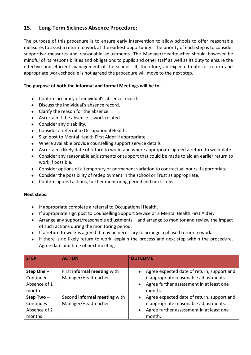# **15. Long-Term Sickness Absence Procedure:**

The purpose of this procedure is to ensure early intervention to allow schools to offer reasonable measures to assist a return to work at the earliest opportunity. The priority of each step is to consider supportive measures and reasonable adjustments. The Manager/Headteacher should however be mindful of its responsibilities and obligations to pupils and other staff as well as its duty to ensure the effective and efficient management of the school. If, therefore, an expected date for return and appropriate work schedule is not agreed the procedure will move to the next step.

#### **The purpose of both the informal and formal Meetings will be to**:

- Confirm accuracy of individual's absence record.
- Discuss the individual's absence record.
- Clarify the reason for the absence.
- Ascertain if the absence is work related.
- Consider any disability.
- Consider a referral to Occupational Health.
- Sign post to Mental Health First Aider if appropriate.
- Where available provide counselling support service details
- Ascertain a likely date of return to work, and where appropriate agreed a return to work date.
- Consider any reasonable adjustments or support that could be made to aid an earlier return to work if possible.
- Consider options of a temporary or permanent variation to contractual hours if appropriate
- Consider the possibility of redeployment in the school or Trust as appropriate.
- Confirm agreed actions, further monitoring period and next steps.

#### **Next steps**:

- If appropriate complete a referral to Occupational Health.
- If appropriate sign post to Counselling Support Service or a Mental Health First Aider.
- Arrange any support/reasonable adjustments and arrange to monitor and review the impact of such actions during the monitoring period.
- If a return to work is agreed it may be necessary to arrange a phased return to work.
- If there is no likely return to work, explain the process and next step within the procedure. Agree date and time of next meeting.

| <b>STEP</b>  | <b>ACTION</b>                | <b>OUTCOME</b>                             |
|--------------|------------------------------|--------------------------------------------|
|              |                              |                                            |
| Step One -   | First informal meeting with  | Agree expected date of return, support and |
| Continued    | Manager/Headteacher          | if appropriate reasonable adjustments.     |
| Absence of 1 |                              | Agree further assessment in at least one   |
| month        |                              | month.                                     |
| Step Two-    | Second informal meeting with | Agree expected date of return, support and |
| Continues    | Manager/Headteacher          | if appropriate reasonable adjustments.     |
| Absence of 2 |                              | Agree further assessment in at least one   |
| months       |                              | month.                                     |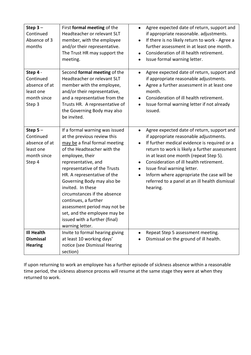| Step $3-$<br>Continued<br>Absence of 3<br>months                              | First formal meeting of the<br>Headteacher or relevant SLT<br>member, with the employee<br>and/or their representative.<br>The Trust HR may support the<br>meeting.                                                                                                                                                                                                                                                                                                   | Agree expected date of return, support and<br>$\bullet$<br>if appropriate reasonable. adjustments.<br>If there is no likely return to work - Agree a<br>$\bullet$<br>further assessment in at least one month.<br>Consideration of ill health retirement.<br>$\bullet$<br>Issue formal warning letter.<br>$\bullet$                                                                                                                                                      |
|-------------------------------------------------------------------------------|-----------------------------------------------------------------------------------------------------------------------------------------------------------------------------------------------------------------------------------------------------------------------------------------------------------------------------------------------------------------------------------------------------------------------------------------------------------------------|--------------------------------------------------------------------------------------------------------------------------------------------------------------------------------------------------------------------------------------------------------------------------------------------------------------------------------------------------------------------------------------------------------------------------------------------------------------------------|
| Step 4 -<br>Continued<br>absence of at<br>least one<br>month since<br>Step 3  | Second formal meeting of the<br>Headteacher or relevant SLT<br>member with the employee,<br>and/or their representative,<br>and a representative from the<br>Trusts HR. A representative of<br>the Governing Body may also<br>be invited.                                                                                                                                                                                                                             | Agree expected date of return, support and<br>$\bullet$<br>if appropriate reasonable adjustments.<br>Agree a further assessment in at least one<br>$\bullet$<br>month.<br>Consideration of ill health retirement.<br>$\bullet$<br>Issue formal warning letter if not already<br>$\bullet$<br>issued.                                                                                                                                                                     |
| Step $5-$<br>Continued<br>absence of at<br>least one<br>month since<br>Step 4 | If a formal warning was issued<br>at the previous review this<br>may be a final formal meeting<br>of the Headteacher with the<br>employee, their<br>representative, and<br>representative of the Trusts<br>HR. A representative of the<br>Governing Body may also be<br>invited. In these<br>circumstances if the absence<br>continues, a further<br>assessment period may not be<br>set, and the employee may be<br>issued with a further (final)<br>warning letter. | Agree expected date of return, support and<br>$\bullet$<br>if appropriate reasonable adjustments.<br>If further medical evidence is required or a<br>$\bullet$<br>return to work is likely a further assessment<br>in at least one month (repeat Step 5).<br>Consideration of ill health retirement.<br>Issue final warning letter.<br>$\bullet$<br>Inform where appropriate the case will be<br>$\bullet$<br>referred to a panel at an ill health dismissal<br>hearing. |
| <b>Ill Health</b>                                                             | Invite to formal hearing giving                                                                                                                                                                                                                                                                                                                                                                                                                                       | Repeat Step 5 assessment meeting.                                                                                                                                                                                                                                                                                                                                                                                                                                        |
| <b>Dismissal</b>                                                              | at least 10 working days'                                                                                                                                                                                                                                                                                                                                                                                                                                             | Dismissal on the ground of ill health.                                                                                                                                                                                                                                                                                                                                                                                                                                   |
| <b>Hearing</b>                                                                | notice (see Dismissal Hearing<br>section)                                                                                                                                                                                                                                                                                                                                                                                                                             |                                                                                                                                                                                                                                                                                                                                                                                                                                                                          |

If upon returning to work an employee has a further episode of sickness absence within a reasonable time period, the sickness absence process will resume at the same stage they were at when they returned to work.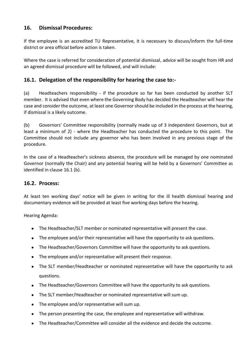## **16. Dismissal Procedures:**

If the employee is an accredited TU Representative, it is necessary to discuss/inform the full-time district or area official before action is taken.

Where the case is referred for consideration of potential dismissal, advice will be sought from HR and an agreed dismissal procedure will be followed, and will include:

## **16.1. Delegation of the responsibility for hearing the case to:-**

(a) Headteachers responsibility - if the procedure so far has been conducted by another SLT member. It is advised that even where the Governing Body has decided the Headteacher will hear the case and consider the outcome, at least one Governor should be included in the process at the hearing, if dismissal is a likely outcome.

(b) Governors' Committee responsibility (normally made up of 3 independent Governors, but at least a minimum of 2) - where the Headteacher has conducted the procedure to this point. The Committee should not include any governor who has been involved in any previous stage of the procedure.

In the case of a Headteacher's sickness absence, the procedure will be managed by one nominated Governor (normally the Chair) and any potential hearing will be held by a Governors' Committee as identified in clause 16.1 (b).

## **16.2. Process:**

At least ten working days' notice will be given in writing for the ill health dismissal hearing and documentary evidence will be provided at least five working days before the hearing.

Hearing Agenda:

- The Headteacher/SLT member or nominated representative will present the case.
- The employee and/or their representative will have the opportunity to ask questions.
- The Headteacher/Governors Committee will have the opportunity to ask questions.
- The employee and/or representative will present their response.
- The SLT member/Headteacher or nominated representative will have the opportunity to ask questions.
- The Headteacher/Governors Committee will have the opportunity to ask questions.
- The SLT member/Headteacher or nominated representative will sum up.
- The employee and/or representative will sum up.
- The person presenting the case, the employee and representative will withdraw.
- The Headteacher/Committee will consider all the evidence and decide the outcome.